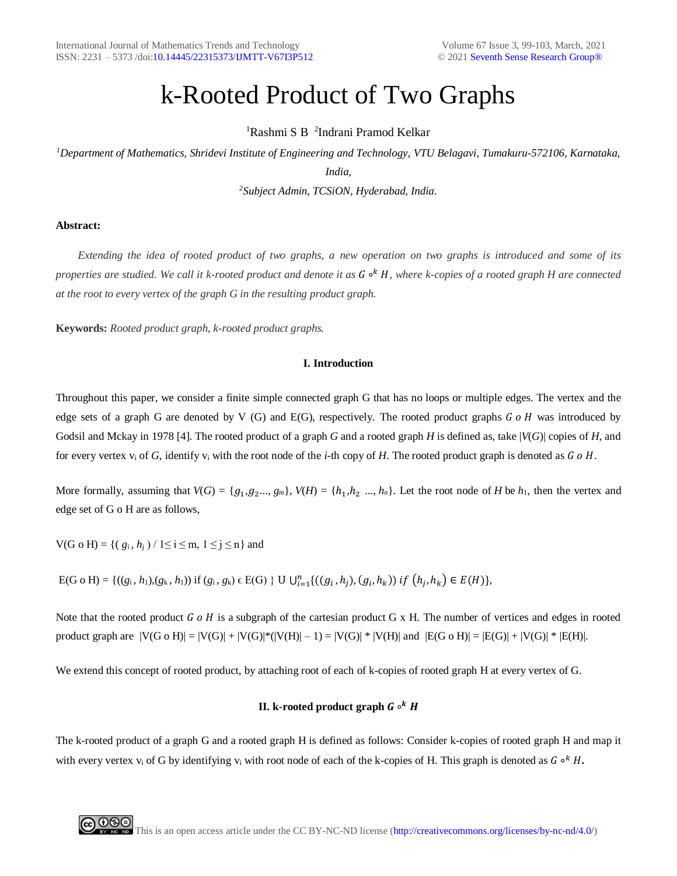# k-Rooted Product of Two Graphs

<sup>1</sup>Rashmi S B<sup>2</sup>Indrani Pramod Kelkar

*<sup>1</sup>Department of Mathematics, Shridevi Institute of Engineering and Technology, VTU Belagavi, Tumakuru-572106, Karnataka, India,*

*<sup>2</sup>Subject Admin, TCSiON, Hyderabad, India.*

# **Abstract:**

 *Extending the idea of rooted product of two graphs, a new operation on two graphs is introduced and some of its properties are studied. We call it k-rooted product and denote it as* G •<sup>k</sup> H, where k-copies of a rooted graph H are connected *at the root to every vertex of the graph G in the resulting product graph.*

**Keywords:** *Rooted product graph, k-rooted product graphs.*

#### **I. Introduction**

Throughout this paper, we consider a finite simple connected graph G that has no loops or multiple edges. The vertex and the edge sets of a graph G are denoted by V (G) and E(G), respectively. The rooted product graphs  $G \circ H$  was introduced by Godsil and Mckay in 1978 [4]. The rooted product of a graph *G* and a rooted graph *H* is defined as, take |*V*(*G*)| copies of *H*, and for every vertex  $v_i$  of G, identify  $v_i$  with the root node of the *i*-th copy of H. The rooted product graph is denoted as G o H.

More formally, assuming that  $V(G) = \{g_1, g_2, ..., g_m\}$ ,  $V(H) = \{h_1, h_2, ..., h_n\}$ . Let the root node of *H* be  $h_1$ , then the vertex and edge set of G o H are as follows,

 $V(G \circ H) = \{ (g_i, h_i) / 1 \le i \le m, 1 \le j \le n \}$  and

 $E(G \circ H) = \{((g_i, h_1), (g_k, h_1)) \text{ if } (g_i, g_k) \in E(G) \} \cup \bigcup_{i=1}^n \{((g_i, h_j), (g_i, h_k)) \text{ if } (h_j, h_k) \in E(H)\},\$ 

Note that the rooted product  $G \circ H$  is a subgraph of the cartesian product G x H. The number of vertices and edges in rooted product graph are  $|V(G \circ H)| = |V(G)| + |V(G)|^*(|V(H)| - 1) = |V(G)|^*|V(H)|$  and  $|E(G \circ H)| = |E(G)| + |V(G)|^*|E(H)|$ .

We extend this concept of rooted product, by attaching root of each of k-copies of rooted graph H at every vertex of G.

# **II. k-rooted product graph** *G* **∘***<sup>k</sup> H*

The k-rooted product of a graph G and a rooted graph H is defined as follows: Consider k-copies of rooted graph H and map it with every vertex v<sub>i</sub> of G by identifying v<sub>i</sub> with root node of each of the k-copies of H. This graph is denoted as  $G \circ^k H$ .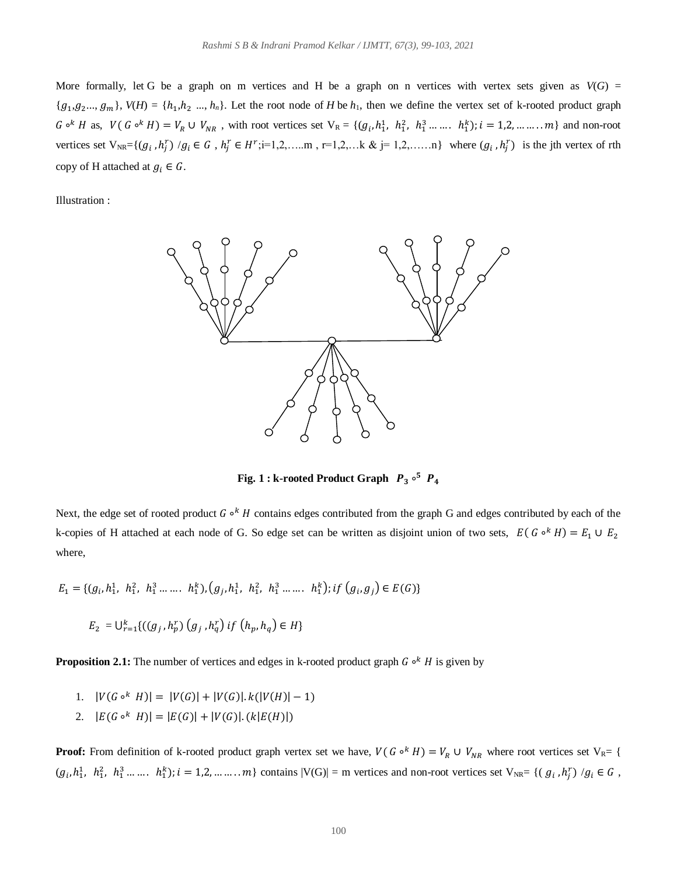More formally, let G be a graph on m vertices and H be a graph on n vertices with vertex sets given as  $V(G)$  =  ${g_1, g_2,..., g_m}$ ,  $V(H) = {h_1, h_2,..., h_n}$ . Let the root node of *H* be  $h_1$ , then we define the vertex set of k-rooted product graph  $G \circ^k H$  as,  $V(G \circ^k H) = V_R \cup V_{NR}$ , with root vertices set  $V_R = \{(g_i, h_1^1, h_1^2, h_1^3, \dots, h_1^k\}; i = 1, 2, \dots, m\}$  and non-root vertices set  $V_{NR} = \{(g_i, h_j^r) / g_i \in G, h_j^r \in H^r; i=1,2,...m, r=1,2,...k \& j=1,2,...,n\}$  where  $(g_i, h_j^r)$  is the jth vertex of rth copy of H attached at  $g_i \in G$ .

Illustration :



**Fig. 1 : k-rooted Product Graph**  $\overline{P}_3 \circ^5 \overline{P}_4$ 

Next, the edge set of rooted product G <sup>ok</sup> H contains edges contributed from the graph G and edges contributed by each of the k-copies of H attached at each node of G. So edge set can be written as disjoint union of two sets,  $E(G \circ^k H) = E_1 \cup E_2$ where,

$$
E_1 = \{ (g_i, h_1^1, h_1^2, h_1^3 \dots h_1^k), (g_j, h_1^1, h_1^2, h_1^3 \dots h_1^k); \text{if } (g_i, g_j) \in E(G) \}
$$

$$
E_2 = \bigcup_{r=1}^k \{ ((g_j, h_p^r) (g_j, h_q^r) \, \text{if} \, (h_p, h_q) \in H \}
$$

**Proposition 2.1:** The number of vertices and edges in k-rooted product graph *G* <sup>°</sup> *H* is given by

- 1.  $|V(G \circ^k H)| = |V(G)| + |V(G)| \cdot k(|V(H)| 1)$
- 2.  $|E(G \circ^k H)| = |E(G)| + |V(G)| \cdot (k|E(H)|)$

**Proof:** From definition of k-rooted product graph vertex set we have,  $V(G \circ^k H) = V_R \cup V_{NR}$  where root vertices set  $V_R = \{$  $(g_i, h_1^1, h_1^2, h_1^3, \ldots, h_1^k); i = 1, 2, \ldots, m\}$  contains  $|V(G)| = m$  vertices and non-root vertices set  $V_{NR} = \{ (g_i, h_j^r) / g_i \in G,$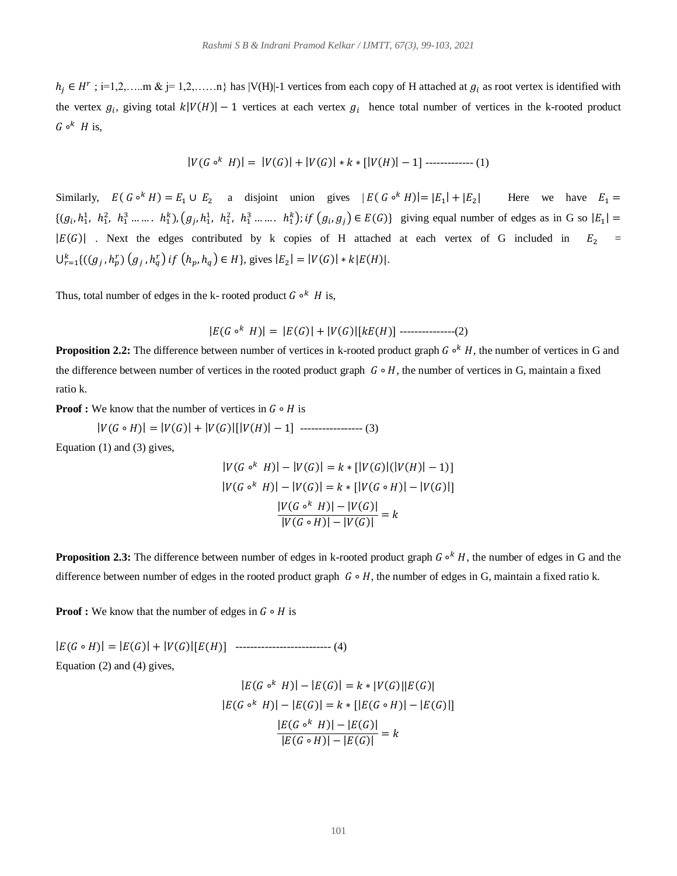$h_j \in H^r$ ; i=1,2,.....m & j= 1,2,.....n} has |V(H)|-1 vertices from each copy of H attached at  $g_i$  as root vertex is identified with the vertex  $g_i$ , giving total  $k|V(H)| - 1$  vertices at each vertex  $g_i$  hence total number of vertices in the k-rooted product  $G \circ^k H$  is,

$$
|V(G \circ^k H)| = |V(G)| + |V(G)| * k * [|V(H)| - 1] \cdots \cdots \cdots \cdots (1)
$$

Similarly,  $E(G \circ^k H) = E_1 \cup E_2$  a disjoint union gives  $|E(G \circ^k H)| = |E_1| + |E_2|$  Here we have  $E_1 =$  $\{(g_i, h_1^1, h_1^2, h_1^3, \ldots, h_1^k), (g_j, h_1^1, h_1^2, h_1^3, \ldots, h_1^k); \text{if } (g_i, g_j) \in E(G)\}\$  giving equal number of edges as in G so  $|E_1|$  =  $|E(G)|$  . Next the edges contributed by k copies of H attached at each vertex of G included in  $E_2 =$  $\bigcup_{r=1}^{k} \{((g_j, h_p^r) (g_j, h_q^r) \text{ if } (h_p, h_q) \in H\}$ , gives  $|E_2| = |V(G)| * k |E(H)|$ .

Thus, total number of edges in the k- rooted product  $G \circ^k H$  is,

 $|E(G \circ^k H)| = |E(G)| + |V(G)|[kE(H)]$  ---------------(2)

**Proposition 2.2:** The difference between number of vertices in k-rooted product graph *G*  $\circ$ <sup>k</sup> *H*, the number of vertices in G and the difference between number of vertices in the rooted product graph  $G \circ H$ , the number of vertices in G, maintain a fixed ratio k.

**Proof :** We know that the number of vertices in  $G \circ H$  is

 $|V(G \circ H)| = |V(G)| + |V(G)|[|V(H)| - 1]$  ------------------ (3)

Equation (1) and (3) gives,

$$
|V(G \circ^k H)| - |V(G)| = k * [|V(G)|(|V(H)| - 1)]
$$
  
\n
$$
|V(G \circ^k H)| - |V(G)| = k * [|V(G \circ H)| - |V(G)|]
$$
  
\n
$$
\frac{|V(G \circ^k H)| - |V(G)|}{|V(G \circ H)| - |V(G)|} = k
$$

**Proposition 2.3:** The difference between number of edges in k-rooted product graph *G* <sup>ok</sup> *H*, the number of edges in G and the difference between number of edges in the rooted product graph  $G \circ H$ , the number of edges in G, maintain a fixed ratio k.

**Proof :** We know that the number of edges in  $G \circ H$  is

|( ∘ )| = |()| + |()|[()] -------------------------- (4) Equation (2) and (4) gives,

$$
|E(G \circ^k H)| - |E(G)| = k * |V(G)||E(G)|
$$
  
\n
$$
|E(G \circ^k H)| - |E(G)| = k * |[E(G \circ H)| - |E(G)|]
$$
  
\n
$$
\frac{|E(G \circ^k H)| - |E(G)|}{|E(G \circ H)| - |E(G)|} = k
$$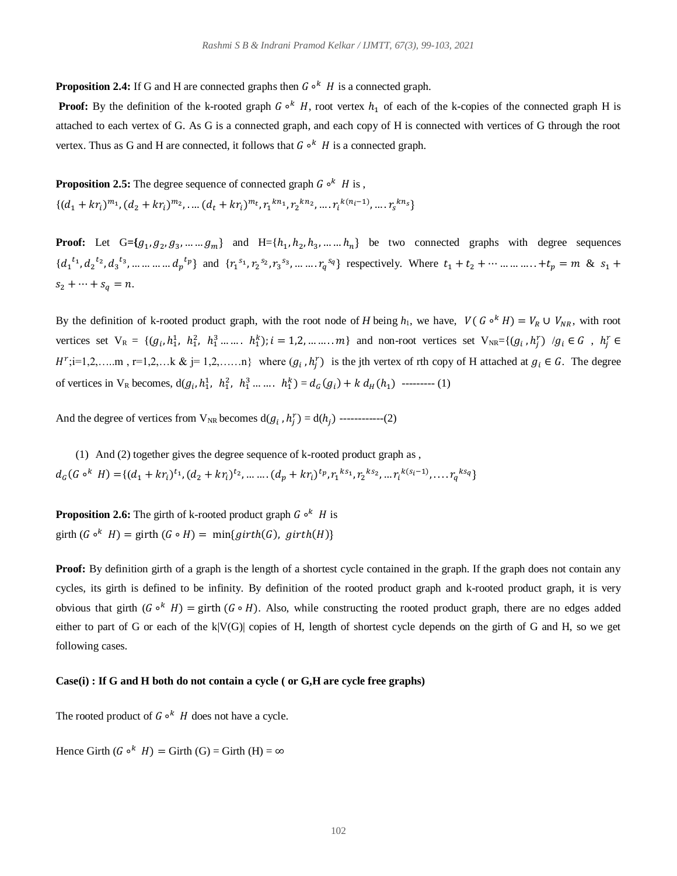**Proposition 2.4:** If G and H are connected graphs then  $G \circ^k H$  is a connected graph.

**Proof:** By the definition of the k-rooted graph  $G \circ^k H$ , root vertex  $h_1$  of each of the k-copies of the connected graph H is attached to each vertex of G. As G is a connected graph, and each copy of H is connected with vertices of G through the root vertex. Thus as G and H are connected, it follows that  $G \circ^k H$  is a connected graph.

**Proposition 2.5:** The degree sequence of connected graph  $G \circ^k H$  is,  $\{(d_1 + kr_i)^{m_1}, (d_2 + kr_i)^{m_2}, \dots (d_t + kr_i)^{m_t}, r_1^{kn_1}, r_2^{kn_2}, \dots, r_i^{k(n_i-1)}, \dots, r_s^{kn_s}\}$ 

**Proof:** Let  $G = \{g_1, g_2, g_3, \dots, g_m\}$  and  $H = \{h_1, h_2, h_3, \dots, h_n\}$  be two connected graphs with degree sequences  $\{d_1^{t_1}, d_2^{t_2}, d_3^{t_3}, \dots \dots \dots \dots d_p^{t_p}\}\$ and  $\{r_1^{s_1}, r_2^{s_2}, r_3^{s_3}, \dots \dots r_q^{s_q}\}\$ respectively. Where  $t_1 + t_2 + \dots \dots \dots \dots \dots + t_p = m \& s_1 +$  $s_2 + \cdots + s_q = n.$ 

By the definition of k-rooted product graph, with the root node of *H* being  $h_1$ , we have,  $V(G \circ^k H) = V_R \cup V_{NR}$ , with root vertices set  $V_R = \{ (g_i, h_1^1, h_1^2, h_1^3, \dots, h_1^k) ; i = 1, 2, \dots, m \}$  and non-root vertices set  $V_{NR} = \{ (g_i, h_j^r) / g_i \in G, h_j^r \in G \}$  $H^r$ ;i=1,2,....m, r=1,2,...k & j=1,2,.....n} where  $(g_i, h_j^r)$  is the jth vertex of rth copy of H attached at  $g_i \in G$ . The degree of vertices in  $V_R$  becomes,  $d(g_i, h_1^1, h_1^2, h_1^3, \ldots, h_1^k) = d_G(g_i) + k d_H(h_1)$  --------- (1)

And the degree of vertices from  $V_{NR}$  becomes  $d(g_i, h_j^r) = d(h_j)$  ------------(2)

(1) And (2) together gives the degree sequence of k-rooted product graph as ,  $d_G(G \circ^k H) = \{(d_1 + kr_i)^{t_1}, (d_2 + kr_i)^{t_2}, \dots \dots (d_p + kr_i)^{t_p}, r_1^{ks_1}, r_2^{ks_2}, \dots r_i^{k(s_i-1)}, \dots r_q^{ks_q}\}$ 

**Proposition 2.6:** The girth of k-rooted product graph  $G \circ^k H$  is girth  $(G \circ^k H) =$  girth  $(G \circ H) = \min\{girth(G), girth(H)\}$ 

**Proof:** By definition girth of a graph is the length of a shortest cycle contained in the graph. If the graph does not contain any cycles, its girth is defined to be infinity. By definition of the rooted product graph and k-rooted product graph, it is very obvious that girth  $(G \circ^k H) =$  girth  $(G \circ H)$ . Also, while constructing the rooted product graph, there are no edges added either to part of G or each of the k|V(G)| copies of H, length of shortest cycle depends on the girth of G and H, so we get following cases.

#### **Case(i) : If G and H both do not contain a cycle ( or G,H are cycle free graphs)**

The rooted product of  $G \circ^k H$  does not have a cycle.

Hence Girth  $(G \circ^k H) =$  Girth  $(G) =$  Girth  $(H) = \infty$